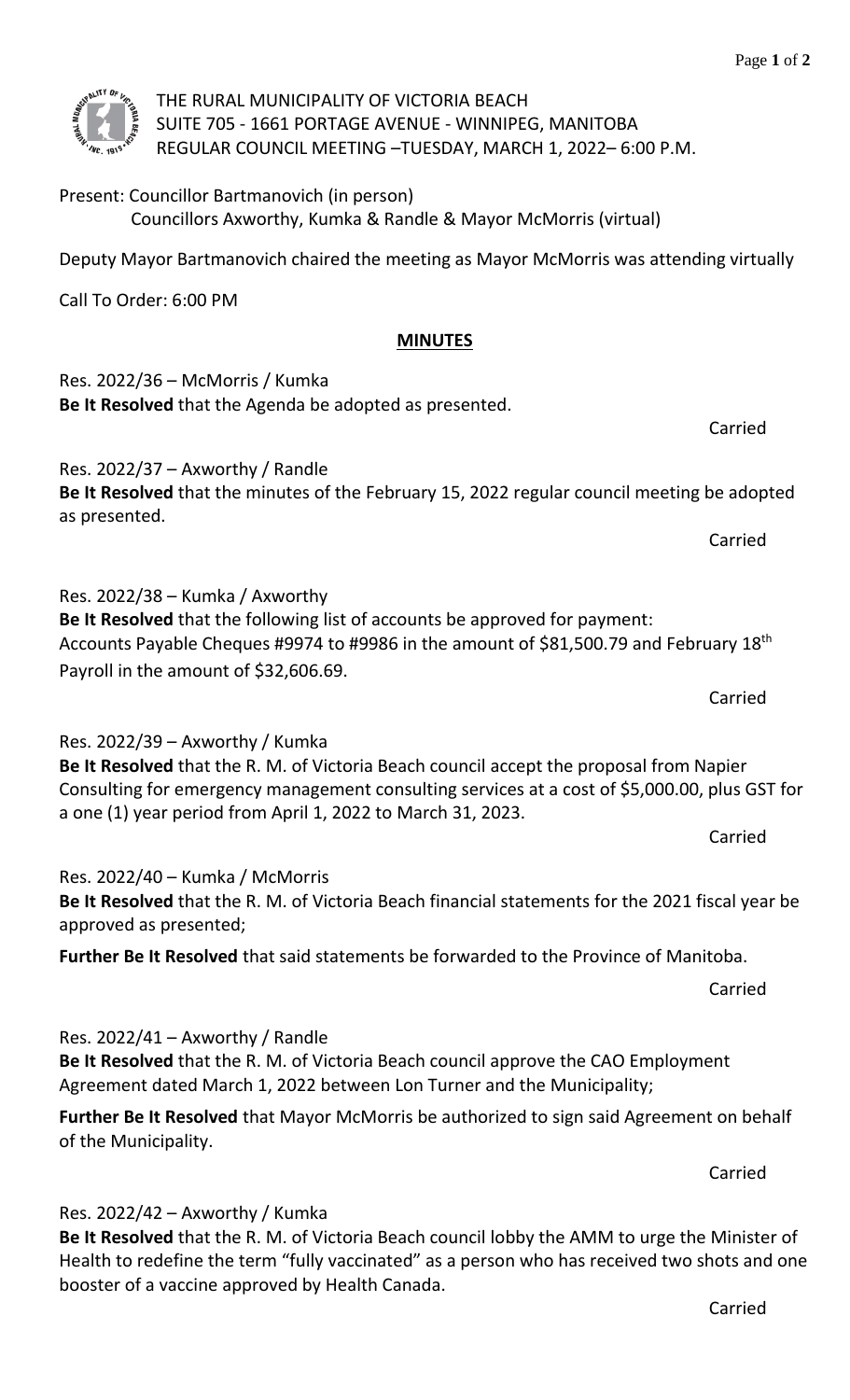

THE RURAL MUNICIPALITY OF VICTORIA BEACH SUITE 705 - 1661 PORTAGE AVENUE - WINNIPEG, MANITOBA REGULAR COUNCIL MEETING –TUESDAY, MARCH 1, 2022– 6:00 P.M.

# Present: Councillor Bartmanovich (in person) Councillors Axworthy, Kumka & Randle & Mayor McMorris (virtual)

Deputy Mayor Bartmanovich chaired the meeting as Mayor McMorris was attending virtually

Call To Order: 6:00 PM

## **MINUTES**

Res. 2022/36 – McMorris / Kumka **Be It Resolved** that the Agenda be adopted as presented. Carried Res. 2022/37 – Axworthy / Randle **Be It Resolved** that the minutes of the February 15, 2022 regular council meeting be adopted as presented. Carried Res. 2022/38 – Kumka / Axworthy **Be It Resolved** that the following list of accounts be approved for payment: Accounts Payable Cheques #9974 to #9986 in the amount of \$81,500.79 and February 18th Payroll in the amount of \$32,606.69. Carried Res. 2022/39 – Axworthy / Kumka **Be It Resolved** that the R. M. of Victoria Beach council accept the proposal from Napier Consulting for emergency management consulting services at a cost of \$5,000.00, plus GST for

# a one (1) year period from April 1, 2022 to March 31, 2023.

Res. 2022/40 – Kumka / McMorris **Be It Resolved** that the R. M. of Victoria Beach financial statements for the 2021 fiscal year be approved as presented;

**Further Be It Resolved** that said statements be forwarded to the Province of Manitoba.

Carried

Carried

# Res. 2022/41 – Axworthy / Randle

**Be It Resolved** that the R. M. of Victoria Beach council approve the CAO Employment Agreement dated March 1, 2022 between Lon Turner and the Municipality;

**Further Be It Resolved** that Mayor McMorris be authorized to sign said Agreement on behalf of the Municipality.

Carried

# Res. 2022/42 – Axworthy / Kumka

**Be It Resolved** that the R. M. of Victoria Beach council lobby the AMM to urge the Minister of Health to redefine the term "fully vaccinated" as a person who has received two shots and one booster of a vaccine approved by Health Canada.

Carried